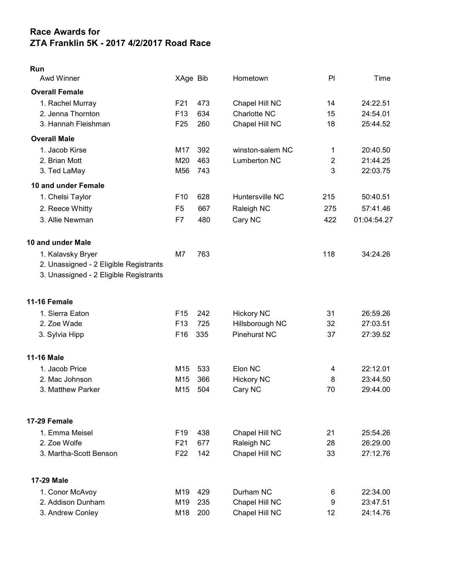## Race Awards for ZTA Franklin 5K - 2017 4/2/2017 Road Race

| Run                                    |                 |     |                     |                |             |
|----------------------------------------|-----------------|-----|---------------------|----------------|-------------|
| Awd Winner                             | XAge Bib        |     | Hometown            | PI             | Time        |
| <b>Overall Female</b>                  |                 |     |                     |                |             |
| 1. Rachel Murray                       | F21             | 473 | Chapel Hill NC      | 14             | 24:22.51    |
| 2. Jenna Thornton                      | F <sub>13</sub> | 634 | Charlotte NC        | 15             | 24:54.01    |
| 3. Hannah Fleishman                    | F <sub>25</sub> | 260 | Chapel Hill NC      | 18             | 25:44.52    |
| <b>Overall Male</b>                    |                 |     |                     |                |             |
| 1. Jacob Kirse                         | M17             | 392 | winston-salem NC    | 1              | 20:40.50    |
| 2. Brian Mott                          | M20             | 463 | <b>Lumberton NC</b> | $\overline{2}$ | 21:44.25    |
| 3. Ted LaMay                           | M56             | 743 |                     | 3              | 22:03.75    |
| 10 and under Female                    |                 |     |                     |                |             |
| 1. Chelsi Taylor                       | F <sub>10</sub> | 628 | Huntersville NC     | 215            | 50:40.51    |
| 2. Reece Whitty                        | F <sub>5</sub>  | 667 | Raleigh NC          | 275            | 57:41.46    |
| 3. Allie Newman                        | F7              | 480 | Cary NC             | 422            | 01:04:54.27 |
| 10 and under Male                      |                 |     |                     |                |             |
| 1. Kalavsky Bryer                      | M7              | 763 |                     | 118            | 34:24.26    |
| 2. Unassigned - 2 Eligible Registrants |                 |     |                     |                |             |
| 3. Unassigned - 2 Eligible Registrants |                 |     |                     |                |             |
| <b>11-16 Female</b>                    |                 |     |                     |                |             |
| 1. Sierra Eaton                        | F <sub>15</sub> | 242 | <b>Hickory NC</b>   | 31             | 26:59.26    |
| 2. Zoe Wade                            | F <sub>13</sub> | 725 | Hillsborough NC     | 32             | 27:03.51    |
| 3. Sylvia Hipp                         | F16             | 335 | Pinehurst NC        | 37             | 27:39.52    |
| <b>11-16 Male</b>                      |                 |     |                     |                |             |
| 1. Jacob Price                         | M15             | 533 | Elon NC             | 4              | 22:12.01    |
| 2. Mac Johnson                         | M15             | 366 | <b>Hickory NC</b>   | 8              | 23:44.50    |
| 3. Matthew Parker                      | M15             | 504 | Cary NC             | 70             | 29:44.00    |
| 17-29 Female                           |                 |     |                     |                |             |
| 1. Emma Meisel                         | F <sub>19</sub> | 438 | Chapel Hill NC      | 21             | 25:54.26    |
| 2. Zoe Wolfe                           | F <sub>21</sub> | 677 | Raleigh NC          | 28             | 26:29.00    |
| 3. Martha-Scott Benson                 | F <sub>22</sub> | 142 | Chapel Hill NC      | 33             | 27:12.76    |
| 17-29 Male                             |                 |     |                     |                |             |
| 1. Conor McAvoy                        | M19             | 429 | Durham NC           | 6              | 22:34.00    |
| 2. Addison Dunham                      | M19             | 235 | Chapel Hill NC      | 9              | 23:47.51    |
| 3. Andrew Conley                       | M18             | 200 | Chapel Hill NC      | 12             | 24:14.76    |